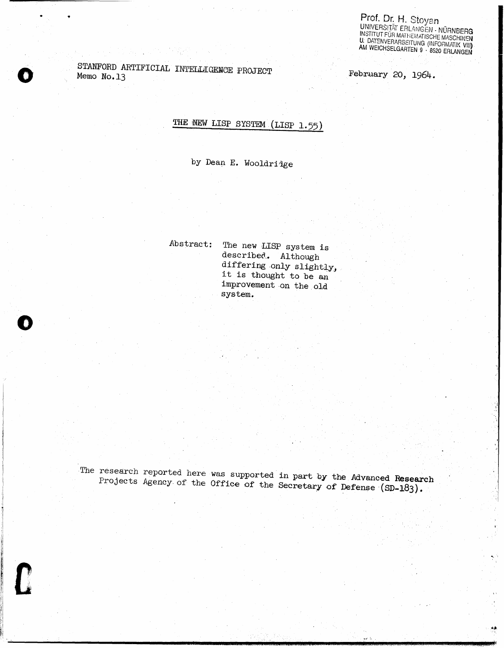Prof. Dr. H. Stoyan<br>UNIVERSITÄT ERLANGEN - NÜRNBERG<br>INSTITUT FÜR MATHEMATISCHE MASCHINEN<br>U. DATENVERARBEITUNG (INFORMATIK VIII)<br>AM WEICHSELGARTEN 9 · 8520 ERLANGEN

STANFORD ARTIFICIAL INTELLIGENCE PROJECT Memo No.13

February 20, 1964.

# THE NEW LISP SYSTEM (LISP 1.55)

by Dean E. Wooldridge

Abstract: The new LISP system is described. Although differing only slightly, it is thought to be an improvement on the old system.

The research reported here was supported in part by the Advanced Research Projects Agency of the Office of the Secretary of Defense (SD-183).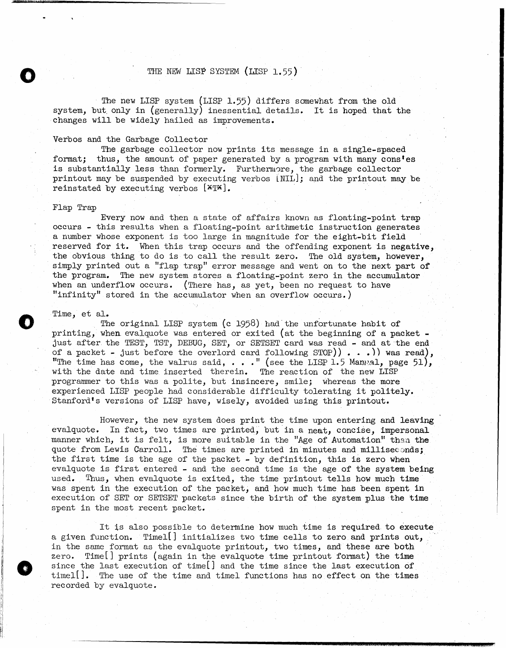# THE NEW LISP SYSTEM (LISP 1.55)

The new LISP system (LISP 1.55) differs somewhat from the old system, but. only in (generally) inessential details. It is hoped that the changes will be widely hailed as improvements.

#### Verbos and the Garbage Collector

The garbage collector now prints its message in a single-spaced format; thus, the amount of paper generated by a program with many cons'es is substantially less than formerly. Furthermore, the garbage collector printout may be suspended by executing verbos (NIL]; and the printout may be reinstated by executing verbos  $[X]$ .

#### Flap Trap

o

o

o

Every now and then a state of affairs known as floating-point trap occurs - this results when a floating-point arithmetic instruction generates a number whose exponent is too large in magnitude for the eight-bit field reserved for it. When this trap occurs and the offending exponent is negative, the obvious thing to do is to call the result zero. The old system, however, simply printed out a "flap trap" error message and went on to the next part of the program. The new system stores a floating-point zero in the accumulator when an underflow occurs. (There has, as yet, been no request to have "infinity" stored in the accumulator when an overflow occurs.)

#### Time, et al.

The original LISP system (c 1958) had the unfortunate habit of printing, when. evalquote was entered or exited (at the beginning of a packet just after the TEST, TST, DEBUG, SET, or SETSET card was read - and at-the end of a packet - just before the overlord card following  $STOP)$  . . .) was read), "The time has come, the walrus said,  $\ldots$ ." (see the LISP 1.5 Manual, page 51), with the date and time inserted therein. The reaction of the new LISP programmer to this was a polite, but insincere, smile; whereas the more experienced LISP people had considerable difficulty tolerating it politely. Stanford's versions of LISP have, wisely, avoided using this printout.

However, the new system does print the time upon entering and leaving evalquote. In fact, two times are printed, but in a neat, concise, impersonal manner which, it is felt, is more suitable in the "Age of Automation" than the quote from Lewis Carroll. The times are printed in minutes and milliseconds; the first time is the age of the packet - by definition, this is zero when evalquote is first entered - and the second time is the age of the system being used. Thus, when evalquote is exited, the time printout tells how much time was spent in the execution of the packet, and how much time has been spent in execution of SET or SETSET packets since the birth of the system plus the time spent in the most recent packet.

It is also possible to determine how much time is required- to execute a given function. Timel(] initializes two time cells to zero and prints out, in the same format as the evalquote printout, two times, and these are both zero. Time[] prints (again in the evalquote time printout format) the time since the last execution of time $[]$  and the time since the last execution of timel[]. The use of the time and timel functions has no effect on the times recorded by evalquote.

=mAsaii:U:M;XU .i : : a\_ ( 11-. UM @ *v* -UcUUt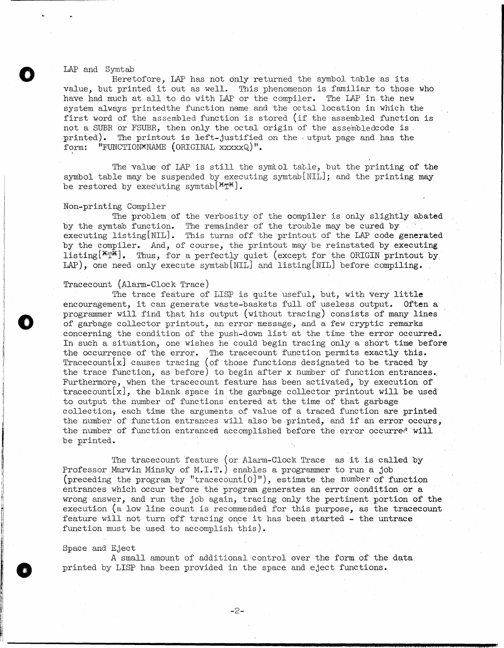#### LAP and Symtab

o

o

o

Heretofore, LAP has not only returned the symbol table as its value, but printed it out as well. This phenomenon is familiar to those who have had much at all to do with LAP or the compiler. The LAP in the new system always printedthe function name and the octal location in which the first word of the assembled function is stored (if the assembled function is not a SUBR or FSUBR, then only the octal origin of the assembledcode is. printed). The printout is left-justified on the utput page and has the form: "FUNCTION\*NAME (ORIGINAL xxxxxQ)".

The value of LAP is still the symlol table, but the printing of the symbol table may be suspended by executing symtab $[NIL]$ ; and the printing may be restored by executing symtab  $[$ <sup>\*T\*</sup>].

#### Non-printing Compiler

The problem of the verbosity of the compiler is only slightly abated by the symtab function. The remainder of the trouble may be cured by executing listing[NIL]. This turns off the printout of the LAP code generated by the compiler. And, of course, the printout may be reinstated by executing listing  $[\mathbf{X}_T\mathbf{X}]$ . Thus, for a perfectly quiet (except for the ORIGIN printout by LAP), one need. only execute symtab[NIL] and listing[NIL] before compiling.

### Tracecount (Alarm-Clock Trace)

The trace feature of LISP is quite useful, but, with very little encouragement, it can generate waste-baskets full of useless output. Often a programmer will find that his output (without tracing) consists of many lines of garbage collector printout, an error message, and a few cryptic remarks concerning the condition of the push-down list at the time the error occurred. In such a situation, one wishes he could begin tracing only a short time before the occurrence of the error. The tracecount function permits exactly this.  $Tracecount[x]$  causes tracing (of those functions designated to be traced by the trace function, as before) to begin after x number of function entrances., Furthermore, when the tracecount feature has been activated, by execution of tracecount  $[x]$ , the blank space in the garbage collector printout will be used to output the number of functions 'entered at the time of that garbage collection, each time the arguments of value of a traced functlon are printed the number of function entrances will also be printed, and if an error occurs, the number of function entranced accomplished before the error occurred will be printed.

The tracecount feature (or Alarm-Clock Trace as it is called by Professor Marvin Minsky of M.I.T.) enables a programmer to run a job (preceding the program by "tracecount [O]"), estimate the number of function entrances which occur before the program generates an error condition or a wrong answer, and run the job again, tracing only the pertinent portion of the execution (a low line count is recommended for this purpose, as the tracecount feature will not turn off tracing once it has been started - the untrace function must be used to accomplish this).

#### Space and Eject

A small amount of additional control over the form of the data printed by LISP has been provided in the space and eject functions.

**----------------------------------\_\_\_** "'.111".'.11a.m.u.~.!.;\$.;e;;.::\_; .1.. a , .. : ~II!!IIIM"'I\_i¥MlIII!I" .IIII!IIJIII ... \_'III!IIIPllfllJ!'li",,:"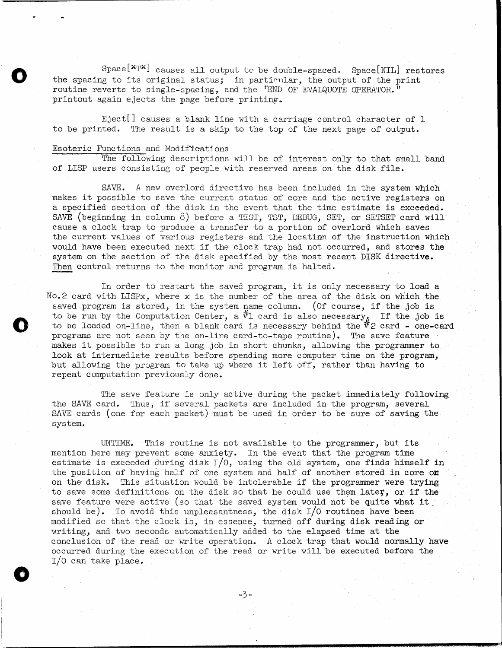$Spec [X_T^{\mathbb{R}}]$  causes all output to be double-spaced. Space [NIL] restores the spacing to its original status; in particular, the output of the print routine reverts to single-spacing, and the 'END OF EVALQUOTE OPERATOR." printout again ejects the page before printing.

Eject<sup>[]</sup> causes a blank line with a carriage control character of 1 to be printed. The result is a skip to the top of the next page of output.

## Esoteric Functions and Modifications

o

o

o

The following descriptions will be of interest only to that small band of LISP users consisting of people with reserved areas on the disk file.

SAVE. *A* new overlord directive has been included in the system which makes it possible to save the current status of core and the active registers on a specified section of the disk in the event that the time estimate is exceeded. SAVE (beginning in column 8) before a TEST, TST, DEBUG, SET, or SETSET card will cause a clock trap to produce a transfer to a portion of overlord which saves the current values of various registers and the location of the instruction which would have been executed next if the clock trap had not occurred, and stores the system on the section of the disk specified by the most recent DISK directive. Then control returns to the monitor and program is halted.

In order to restart the saved program, it is only necessary to load a No.2 card with LISPx, where x is the number of the area of the disk on which the saved program is stored, in the system name column. (Of course, if the job is to be run by the Computation Center, a  $#1$  card is also necessary. If the job is to be loaded on-line, then a blank card is necessary behind the  $\#$ 2 card - one-card programs are not seen by the on-line card-to-tape routine). The save feature makes it possible to run a long job in short chunks, allowing the programmer to look at intermediate results before spending more computer time on the program, but allowing the program to take up where it left off, rather than having to repeat computation previously done.

The save feature is only active during the packet immediately following the SAVE card. Thus, if several packets are included in the program, several SAVE cards (one for each packet) must be used in order to be sure of saving the system.

UNTIME. This routine is not available to the programmer, but its mention here may prevent some anxiety. In the event that the program time estimate is exceeded during disk  $I/0$ , using the old system, one finds himself in the position of having half of one system and half of another stored in core on on the disk. This situation would be intolerable if the programmer were trying to save some definitions on the disk so that he could use them later, or if the save feature were active (so that the saved system would not be quite what it. should be). To avoid this unpleasantness, the disk  $I/O$  routines have been modified so that the clock is, in essepce, turned off during disk reading or writing, and two seconds automatically added to the elapsed time at the conclusion of the read or write operation. *A* clock trap that would normally have occurred during the execution of the read or write will be executed before the I/O can take place.

-3-